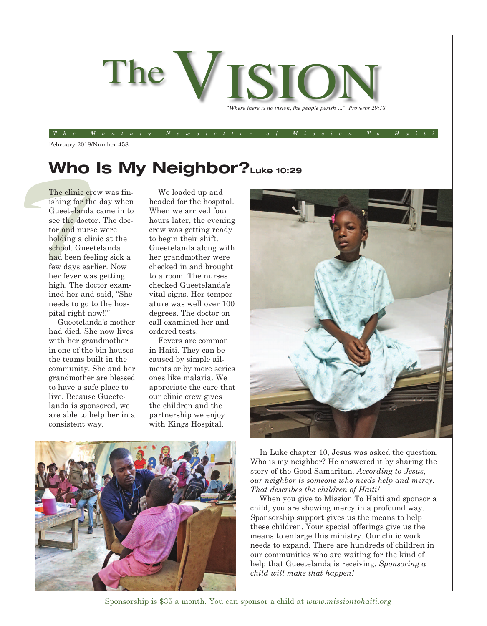

The Monthly Newsletter of Mission To Hait

February 2018/Number 458

## **Who Is My Neighbor?Luke 10:29**

The clinic critical contract is thing for the doct of the doct of the doct of the doct of the doct of the doct of the doct of the doct of the doct of the doct of the doct of the doct of the doct of the doct of the doct of The clinic crew was finishing for the day when Gueetelanda came in to see the doctor. The doctor and nurse were holding a clinic at the school. Gueetelanda had been feeling sick a few days earlier. Now her fever was getting high. The doctor examined her and said, "She needs to go to the hospital right now!!"

Gueetelanda's mother had died. She now lives with her grandmother in one of the bin houses the teams built in the community. She and her grandmother are blessed to have a safe place to live. Because Gueetelanda is sponsored, we are able to help her in a consistent way.

We loaded up and headed for the hospital. When we arrived four hours later, the evening crew was getting ready to begin their shift. Gueetelanda along with her grandmother were checked in and brought to a room. The nurses checked Gueetelanda's vital signs. Her temperature was well over 100 degrees. The doctor on call examined her and ordered tests.

Fevers are common in Haiti. They can be caused by simple ailments or by more series ones like malaria. We appreciate the care that our clinic crew gives the children and the partnership we enjoy with Kings Hospital.





In Luke chapter 10, Jesus was asked the question, Who is my neighbor? He answered it by sharing the story of the Good Samaritan. *According to Jesus, our neighbor is someone who needs help and mercy. That describes the children of Haiti!*

When you give to Mission To Haiti and sponsor a child, you are showing mercy in a profound way. Sponsorship support gives us the means to help these children. Your special offerings give us the means to enlarge this ministry. Our clinic work needs to expand. There are hundreds of children in our communities who are waiting for the kind of help that Gueetelanda is receiving. *Sponsoring a child will make that happen!*

Sponsorship is \$35 a month. You can sponsor a child at *www.missiontohaiti.org*